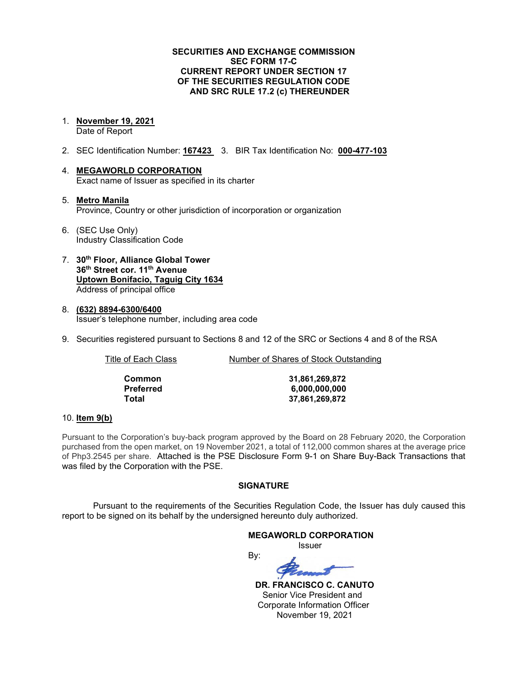### **SECURITIES AND EXCHANGE COMMISSION SEC FORM 17-C CURRENT REPORT UNDER SECTION 17 OF THE SECURITIES REGULATION CODE AND SRC RULE 17.2 (c) THEREUNDER**

1. **November 19, 2021**

Date of Report

- 2. SEC Identification Number: **167423** 3. BIR Tax Identification No: **000-477-103**
- 4. **MEGAWORLD CORPORATION** Exact name of Issuer as specified in its charter
- 5. **Metro Manila** Province, Country or other jurisdiction of incorporation or organization
- 6. (SEC Use Only) Industry Classification Code
- 7. **30th Floor, Alliance Global Tower 36th Street cor. 11th Avenue Uptown Bonifacio, Taguig City 1634** Address of principal office
- 8. **(632) 8894-6300/6400** Issuer's telephone number, including area code
- 9. Securities registered pursuant to Sections 8 and 12 of the SRC or Sections 4 and 8 of the RSA

Title of Each Class Number of Shares of Stock Outstanding

| Common    |
|-----------|
| Preferred |
| Total     |

**Common 31,861,269,872 Preferred 6,000,000,000 Total 37,861,269,872**

### 10. **Item 9(b)**

Pursuant to the Corporation's buy-back program approved by the Board on 28 February 2020, the Corporation purchased from the open market, on 19 November 2021, a total of 112,000 common shares at the average price of Php3.2545 per share. Attached is the PSE Disclosure Form 9-1 on Share Buy-Back Transactions that was filed by the Corporation with the PSE.

## **SIGNATURE**

Pursuant to the requirements of the Securities Regulation Code, the Issuer has duly caused this report to be signed on its behalf by the undersigned hereunto duly authorized.

> **MEGAWORLD CORPORATION** Issuer

By:

 **DR. FRANCISCO C. CANUTO** Senior Vice President and Corporate Information Officer November 19, 2021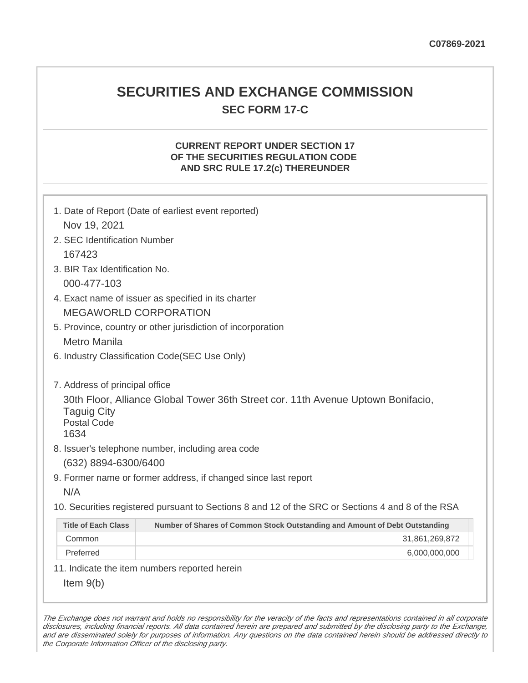## **SECURITIES AND EXCHANGE COMMISSION SEC FORM 17-C**

## **CURRENT REPORT UNDER SECTION 17 OF THE SECURITIES REGULATION CODE AND SRC RULE 17.2(c) THEREUNDER**

| Nov 19, 2021                                                                       | 1. Date of Report (Date of earliest event reported)                                               |  |  |  |  |
|------------------------------------------------------------------------------------|---------------------------------------------------------------------------------------------------|--|--|--|--|
| 2. SEC Identification Number                                                       |                                                                                                   |  |  |  |  |
| 167423                                                                             |                                                                                                   |  |  |  |  |
| 3. BIR Tax Identification No.                                                      |                                                                                                   |  |  |  |  |
| 000-477-103                                                                        |                                                                                                   |  |  |  |  |
|                                                                                    | 4. Exact name of issuer as specified in its charter                                               |  |  |  |  |
| <b>MEGAWORLD CORPORATION</b>                                                       |                                                                                                   |  |  |  |  |
| 5. Province, country or other jurisdiction of incorporation                        |                                                                                                   |  |  |  |  |
| <b>Metro Manila</b>                                                                |                                                                                                   |  |  |  |  |
|                                                                                    | 6. Industry Classification Code(SEC Use Only)                                                     |  |  |  |  |
| 7. Address of principal office<br><b>Taguig City</b><br><b>Postal Code</b><br>1634 | 30th Floor, Alliance Global Tower 36th Street cor. 11th Avenue Uptown Bonifacio,                  |  |  |  |  |
|                                                                                    | 8. Issuer's telephone number, including area code                                                 |  |  |  |  |
| (632) 8894-6300/6400                                                               |                                                                                                   |  |  |  |  |
|                                                                                    | 9. Former name or former address, if changed since last report                                    |  |  |  |  |
| N/A                                                                                |                                                                                                   |  |  |  |  |
|                                                                                    | 10. Securities registered pursuant to Sections 8 and 12 of the SRC or Sections 4 and 8 of the RSA |  |  |  |  |
| <b>Title of Each Class</b>                                                         | Number of Shares of Common Stock Outstanding and Amount of Debt Outstanding                       |  |  |  |  |
| Common                                                                             | 31,861,269,872                                                                                    |  |  |  |  |
| Preferred                                                                          | 6,000,000,000                                                                                     |  |  |  |  |
|                                                                                    | 11. Indicate the item numbers reported herein                                                     |  |  |  |  |
| Item $9(b)$                                                                        |                                                                                                   |  |  |  |  |

The Exchange does not warrant and holds no responsibility for the veracity of the facts and representations contained in all corporate disclosures, including financial reports. All data contained herein are prepared and submitted by the disclosing party to the Exchange, and are disseminated solely for purposes of information. Any questions on the data contained herein should be addressed directly to the Corporate Information Officer of the disclosing party.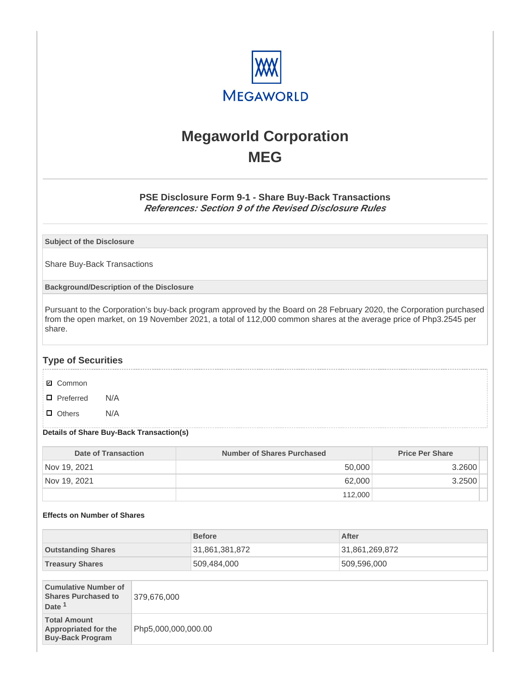

# **Megaworld Corporation MEG**

## **PSE Disclosure Form 9-1 - Share Buy-Back Transactions References: Section 9 of the Revised Disclosure Rules**

**Subject of the Disclosure**

Share Buy-Back Transactions

**Background/Description of the Disclosure**

Pursuant to the Corporation's buy-back program approved by the Board on 28 February 2020, the Corporation purchased from the open market, on 19 November 2021, a total of 112,000 common shares at the average price of Php3.2545 per share.

## **Type of Securities**

- **☑** Common
- □ Preferred N/A
- D Others N/A

### **Details of Share Buy-Back Transaction(s)**

| Date of Transaction | Number of Shares Purchased | <b>Price Per Share</b> |  |
|---------------------|----------------------------|------------------------|--|
| Nov 19, 2021        | 50,000                     | 3.2600                 |  |
| Nov 19, 2021        | 62,000                     | 3.2500                 |  |
|                     | 112,000                    |                        |  |

### **Effects on Number of Shares**

|                                                                                |                     | <b>Before</b>  |  | After          |  |
|--------------------------------------------------------------------------------|---------------------|----------------|--|----------------|--|
| <b>Outstanding Shares</b>                                                      |                     | 31,861,381,872 |  | 31,861,269,872 |  |
| <b>Treasury Shares</b>                                                         |                     | 509,484,000    |  | 509,596,000    |  |
|                                                                                |                     |                |  |                |  |
| <b>Cumulative Number of</b><br><b>Shares Purchased to</b><br>Date <sup>1</sup> | 379,676,000         |                |  |                |  |
| <b>Total Amount</b><br>Appropriated for the<br><b>Buy-Back Program</b>         | Php5,000,000,000.00 |                |  |                |  |